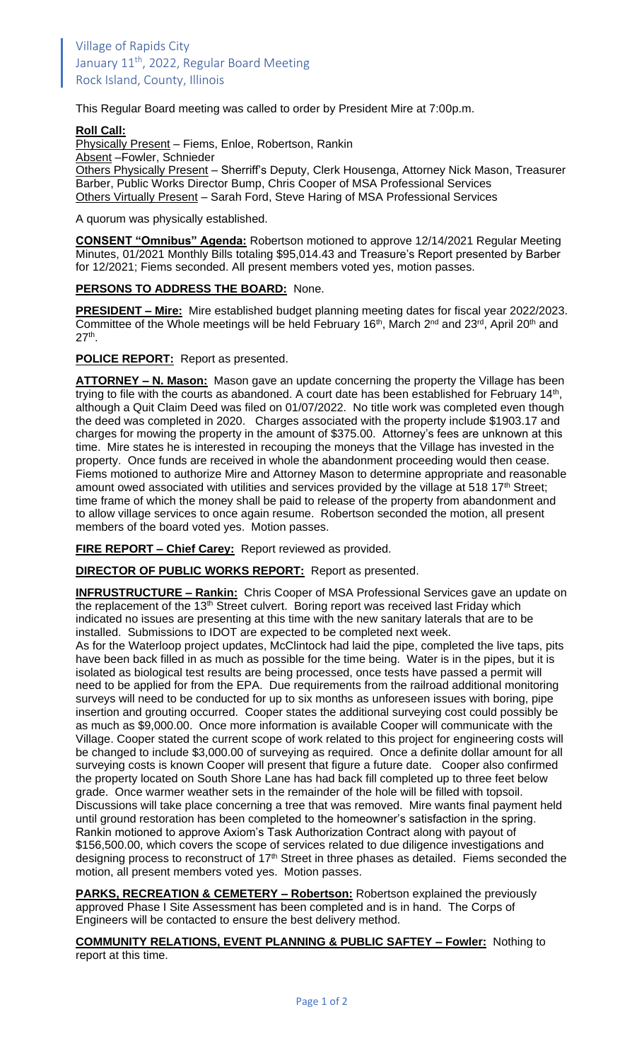This Regular Board meeting was called to order by President Mire at 7:00p.m.

## **Roll Call:**

Physically Present - Fiems, Enloe, Robertson, Rankin

Absent –Fowler, Schnieder

Others Physically Present - Sherriff's Deputy, Clerk Housenga, Attorney Nick Mason, Treasurer Barber, Public Works Director Bump, Chris Cooper of MSA Professional Services Others Virtually Present – Sarah Ford, Steve Haring of MSA Professional Services

A quorum was physically established.

**CONSENT "Omnibus" Agenda:** Robertson motioned to approve 12/14/2021 Regular Meeting Minutes, 01/2021 Monthly Bills totaling \$95,014.43 and Treasure's Report presented by Barber for 12/2021; Fiems seconded. All present members voted yes, motion passes.

## **PERSONS TO ADDRESS THE BOARD:** None.

**PRESIDENT – Mire:** Mire established budget planning meeting dates for fiscal year 2022/2023. Committee of the Whole meetings will be held February 16<sup>th</sup>, March 2<sup>nd</sup> and 23<sup>rd</sup>, April 20<sup>th</sup> and  $27<sup>th</sup>$ .

**POLICE REPORT:** Report as presented.

**ATTORNEY – N. Mason:** Mason gave an update concerning the property the Village has been trying to file with the courts as abandoned. A court date has been established for February 14<sup>th</sup>, although a Quit Claim Deed was filed on 01/07/2022. No title work was completed even though the deed was completed in 2020. Charges associated with the property include \$1903.17 and charges for mowing the property in the amount of \$375.00. Attorney's fees are unknown at this time. Mire states he is interested in recouping the moneys that the Village has invested in the property. Once funds are received in whole the abandonment proceeding would then cease. Fiems motioned to authorize Mire and Attorney Mason to determine appropriate and reasonable amount owed associated with utilities and services provided by the village at 518 17<sup>th</sup> Street; time frame of which the money shall be paid to release of the property from abandonment and to allow village services to once again resume. Robertson seconded the motion, all present members of the board voted yes. Motion passes.

**FIRE REPORT – Chief Carey:** Report reviewed as provided.

**DIRECTOR OF PUBLIC WORKS REPORT:** Report as presented.

**INFRUSTRUCTURE – Rankin:** Chris Cooper of MSA Professional Services gave an update on the replacement of the 13<sup>th</sup> Street culvert. Boring report was received last Friday which indicated no issues are presenting at this time with the new sanitary laterals that are to be installed. Submissions to IDOT are expected to be completed next week.

As for the Waterloop project updates, McClintock had laid the pipe, completed the live taps, pits have been back filled in as much as possible for the time being. Water is in the pipes, but it is isolated as biological test results are being processed, once tests have passed a permit will need to be applied for from the EPA. Due requirements from the railroad additional monitoring surveys will need to be conducted for up to six months as unforeseen issues with boring, pipe insertion and grouting occurred. Cooper states the additional surveying cost could possibly be as much as \$9,000.00. Once more information is available Cooper will communicate with the Village. Cooper stated the current scope of work related to this project for engineering costs will be changed to include \$3,000.00 of surveying as required. Once a definite dollar amount for all surveying costs is known Cooper will present that figure a future date. Cooper also confirmed the property located on South Shore Lane has had back fill completed up to three feet below grade. Once warmer weather sets in the remainder of the hole will be filled with topsoil. Discussions will take place concerning a tree that was removed. Mire wants final payment held until ground restoration has been completed to the homeowner's satisfaction in the spring. Rankin motioned to approve Axiom's Task Authorization Contract along with payout of \$156,500.00, which covers the scope of services related to due diligence investigations and designing process to reconstruct of 17<sup>th</sup> Street in three phases as detailed. Fiems seconded the motion, all present members voted yes. Motion passes.

**PARKS, RECREATION & CEMETERY – Robertson:** Robertson explained the previously approved Phase I Site Assessment has been completed and is in hand. The Corps of Engineers will be contacted to ensure the best delivery method.

**COMMUNITY RELATIONS, EVENT PLANNING & PUBLIC SAFTEY – Fowler:** Nothing to report at this time.